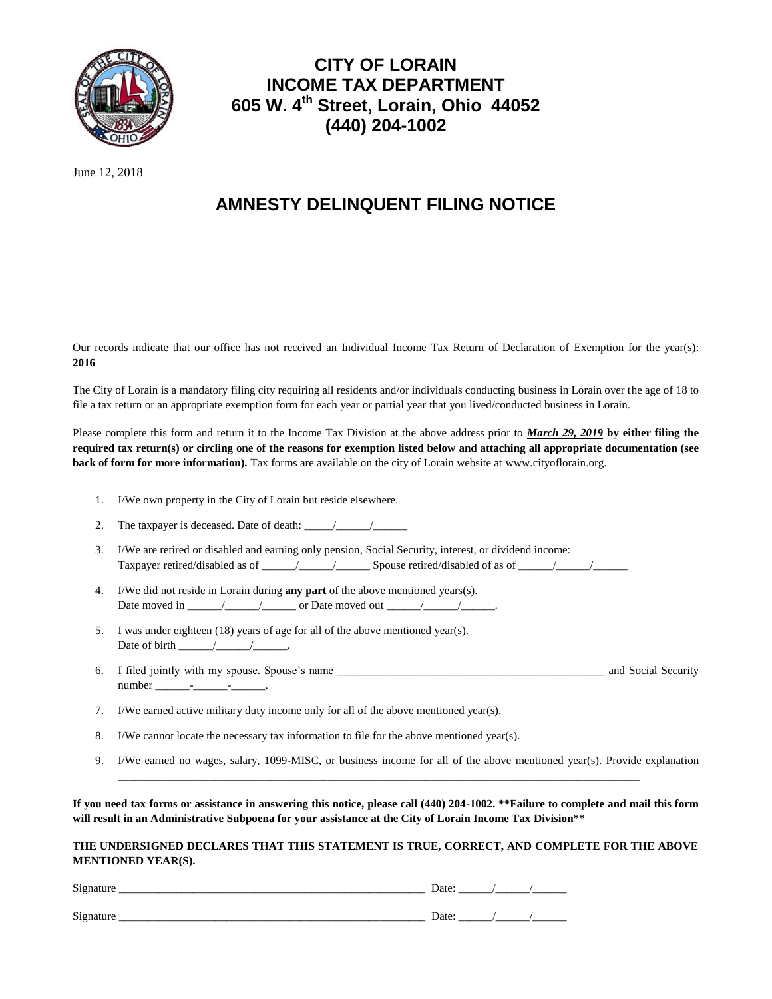

## **CITY OF LORAIN INCOME TAX DEPARTMENT 605 W. 4th Street, Lorain, Ohio 44052 (440) 204-1002**

June 12, 2018

## **AMNESTY DELINQUENT FILING NOTICE**

Our records indicate that our office has not received an Individual Income Tax Return of Declaration of Exemption for the year(s): **2016**

The City of Lorain is a mandatory filing city requiring all residents and/or individuals conducting business in Lorain over the age of 18 to file a tax return or an appropriate exemption form for each year or partial year that you lived/conducted business in Lorain.

Please complete this form and return it to the Income Tax Division at the above address prior to *March 29, 2019* **by either filing the required tax return(s) or circling one of the reasons for exemption listed below and attaching all appropriate documentation (see back of form for more information).** Tax forms are available on the city of Lorain website at www.cityoflorain.org.

- 1. I/We own property in the City of Lorain but reside elsewhere.
- 2. The taxpayer is deceased. Date of death:  $\frac{\sqrt{2}}{2}$
- 3. I/We are retired or disabled and earning only pension, Social Security, interest, or dividend income: Taxpayer retired/disabled as of \_\_\_\_\_\_/\_\_\_\_\_\_/\_\_\_\_\_\_ Spouse retired/disabled of as of \_\_\_\_\_\_/\_\_\_\_\_\_/\_\_\_\_\_\_
- 4. I/We did not reside in Lorain during **any part** of the above mentioned years(s). Date moved in \_\_\_\_\_\_/\_\_\_\_\_\_/\_\_\_\_\_\_ or Date moved out \_\_\_\_\_\_/\_\_\_\_\_\_/\_\_\_\_\_\_.
- 5. I was under eighteen (18) years of age for all of the above mentioned year(s). Date of birth  $\frac{\sqrt{2}}{2}$
- 6. I filed jointly with my spouse. Spouse's name \_\_\_\_\_\_\_\_\_\_\_\_\_\_\_\_\_\_\_\_\_\_\_\_\_\_\_\_\_\_\_\_\_\_\_\_\_\_\_\_\_\_\_\_\_\_\_ and Social Security number \_\_\_\_\_\_-\_\_\_\_\_\_-\_\_\_\_\_\_.
- 7. I/We earned active military duty income only for all of the above mentioned year(s).
- 8. I/We cannot locate the necessary tax information to file for the above mentioned year(s).
- 9. I/We earned no wages, salary, 1099-MISC, or business income for all of the above mentioned year(s). Provide explanation

**If you need tax forms or assistance in answering this notice, please call (440) 204-1002. \*\*Failure to complete and mail this form will result in an Administrative Subpoena for your assistance at the City of Lorain Income Tax Division\*\***

\_\_\_\_\_\_\_\_\_\_\_\_\_\_\_\_\_\_\_\_\_\_\_\_\_\_\_\_\_\_\_\_\_\_\_\_\_\_\_\_\_\_\_\_\_\_\_\_\_\_\_\_\_\_\_\_\_\_\_\_\_\_\_\_\_\_\_\_\_\_\_\_\_\_\_\_\_\_\_\_\_\_\_\_\_\_\_\_\_\_\_\_

**THE UNDERSIGNED DECLARES THAT THIS STATEMENT IS TRUE, CORRECT, AND COMPLETE FOR THE ABOVE MENTIONED YEAR(S).**

| Signature | Date: |  |
|-----------|-------|--|
| Signature | Date: |  |